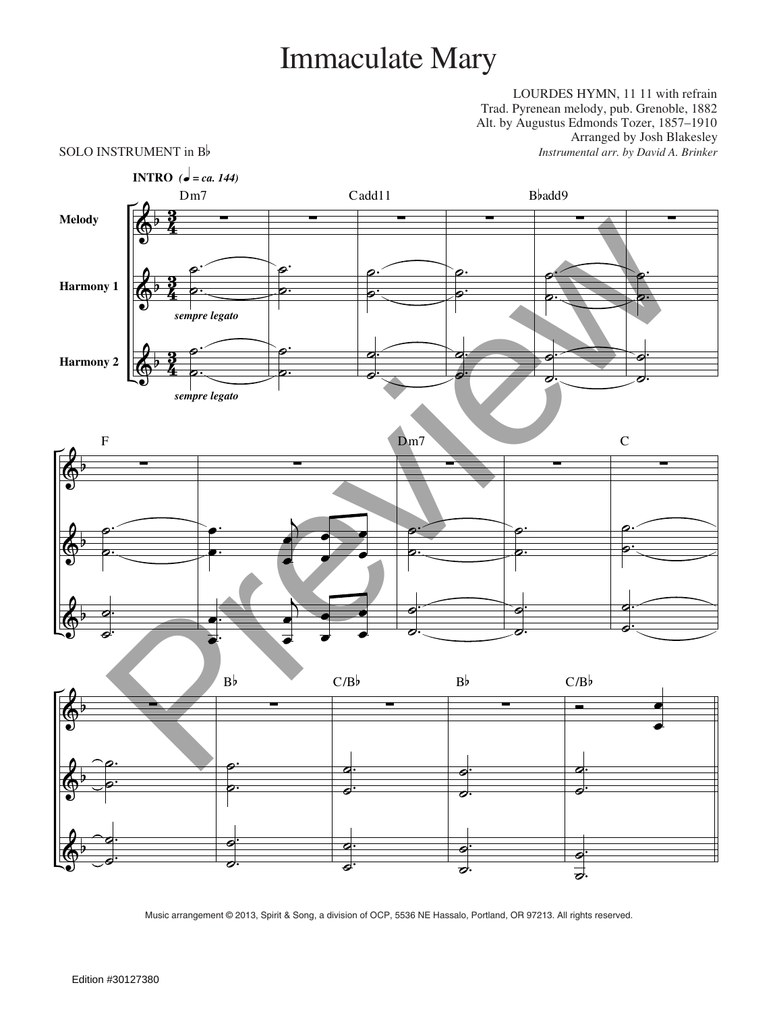## Immaculate Mary

LOURDES HYMN, 11 11 with refrain Trad. Pyrenean melody, pub. Grenoble, 1882 Alt. by Augustus Edmonds Tozer, 1857–1910 Arranged by Josh Blakesley SOLO INSTRUMENT in B<sub>p</sub> *Instrumental arr. by David A. Brinker* 

## $\pmb{\phi}$  $\Phi$  $\pmb{\phi}$ b b b <u>รี</u><br>4 <u>ទ្</u> 3<br>4 <u>ទ្</u> <u>วั</u><br>4 <u>រ</u> **Melody Harmony 1 Harmony 2** ∑ . .  $\overline{a}$ ˙ . .  $\overline{\phantom{a}}$  $\overline{\bullet}$ Dm7 **INTRO**  $\overrightarrow{e}$  *= ca. 144) sempre legato sempre legato* ∑ . .  $\overline{e}$  $\overline{\bullet}$ . .  $\overline{e}$  $\overline{\bullet}$ ∑ . . ˙ ˙ . .  $\bullet$  $\overline{\bullet}$ Cadd11 ∑ . .  $\overline{a}$  $\overline{\bullet}$ . .  $\bullet$ ˙ ∑ . .  $\overline{P}$ ˙ . .  $\overline{\bullet}$  $\overline{\phantom{a}}$ Bbadd9 ∑ . . ˙  $\overline{\bullet}$ . .  $\overline{\bullet}$  $\overline{\bullet}$  $\pmb{\phi}$  $\pmb{\phi}$  $\Phi$ b b b ∑ . .  $\overline{e}$ ˙ . .  $\overline{\bullet}$  $\overline{\bullet}$ F ∑ . . œ œ j œ œ œ œ œ œ . . œ œ j œ œ œ œ œ œ ∑ . .  $\overline{a}$  $\overline{\bullet}$ . .  $\overline{\bullet}$  $\overline{\bullet}$ Dm<sub>7</sub> ∑ . .  $\overline{a}$  $\overline{\bullet}$ . .  $\overline{\bullet}$  $\overline{\bullet}$ ∑ . .  $\overline{P}$  $\overline{\bullet}$ . .  $\overline{\bullet}$  $\overline{\bullet}$ C  $\pmb{\phi}$  $\Phi$  $\pmb{\phi}$ b b b ∑ . . ˙ ˙ . .  $\bullet$  $\overline{\bullet}$ ∑ . .  $\overline{e}$ ˙ . .  $\overline{\bullet}$  $\overline{\bullet}$ Bb ∑ . .  $\bullet$  $\overline{\bullet}$ . .  $\overline{\bullet}$  $\overline{\bullet}$  $C/Bb$ ∑ . .  $\bullet$  $\overline{\bullet}$ . .  $\blacksquare$  $\overline{\mathbf{c}}$ Bb <u>a basan d</u> œ . .  $\overline{\bullet}$  $\overline{\bullet}$ . .  $\blacksquare$ **i**  $C/B$ Preview  $\frac{p}{\sqrt{p}}$ <br>
Preview  $\frac{p}{\sqrt{p}}$ <br>
Preview  $\frac{p}{\sqrt{p}}$ <br>
Preview  $\frac{p}{\sqrt{p}}$ <br>
Preview  $\frac{p}{\sqrt{p}}$ <br>
Preview  $\frac{p}{\sqrt{p}}$ <br>
Contact the contact of the contact of the contact of the contact of the contact of the co

Music arrangement © 2013, Spirit & Song, a division of OCP, 5536 NE Hassalo, Portland, OR 97213. All rights reserved.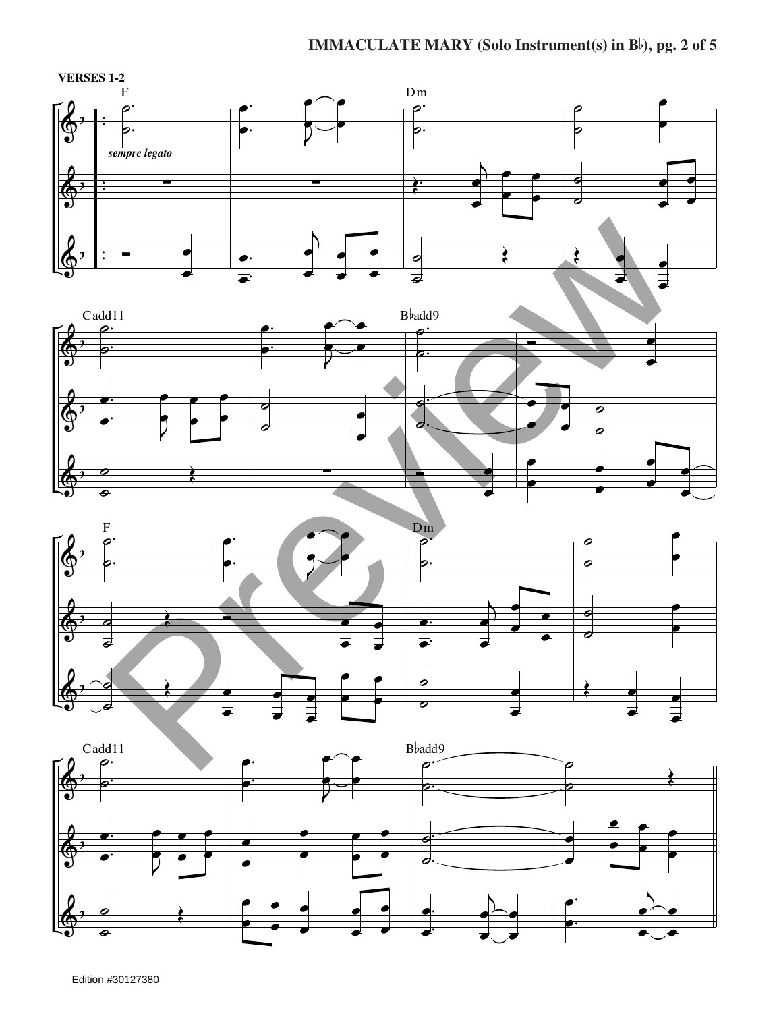





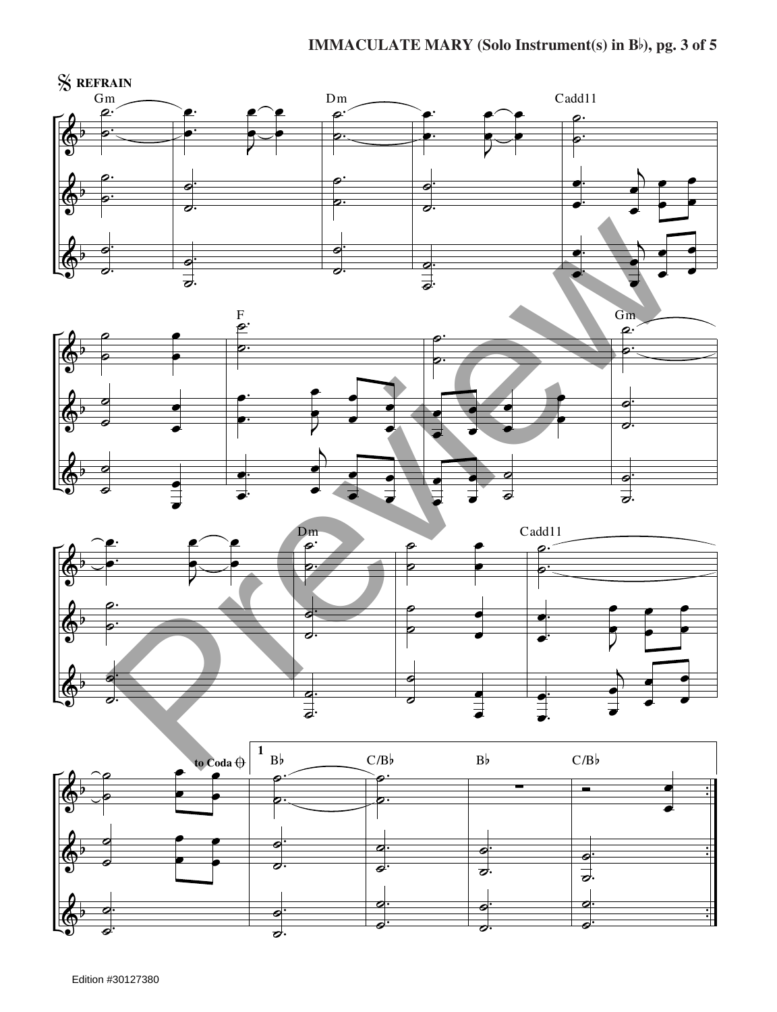





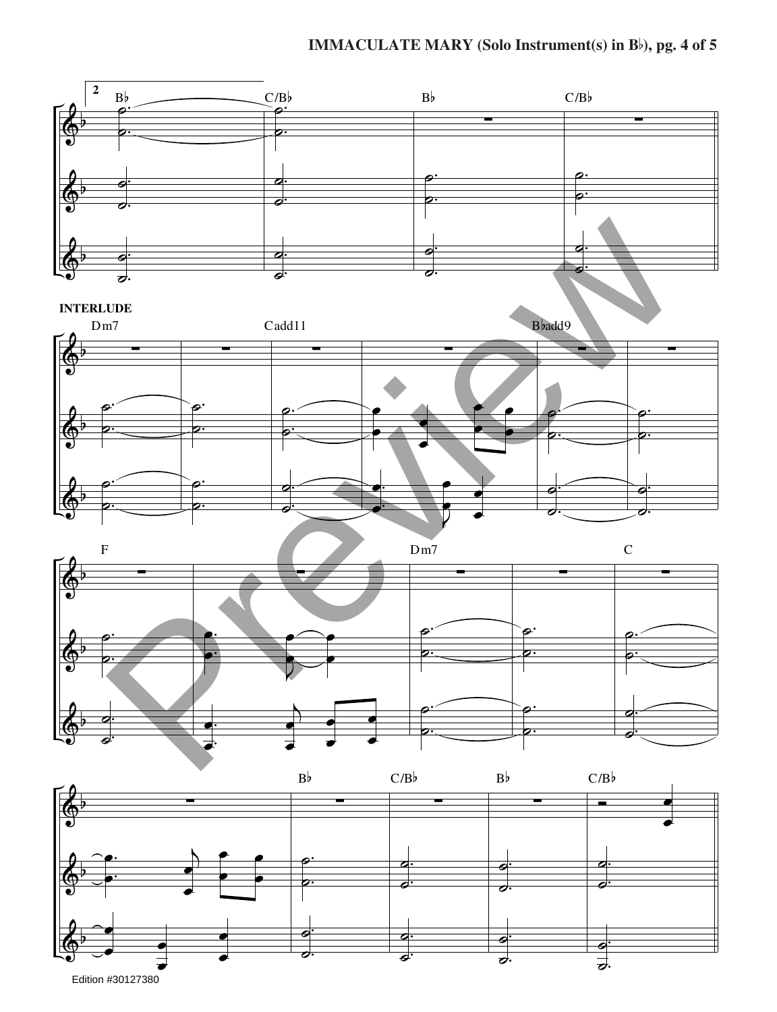